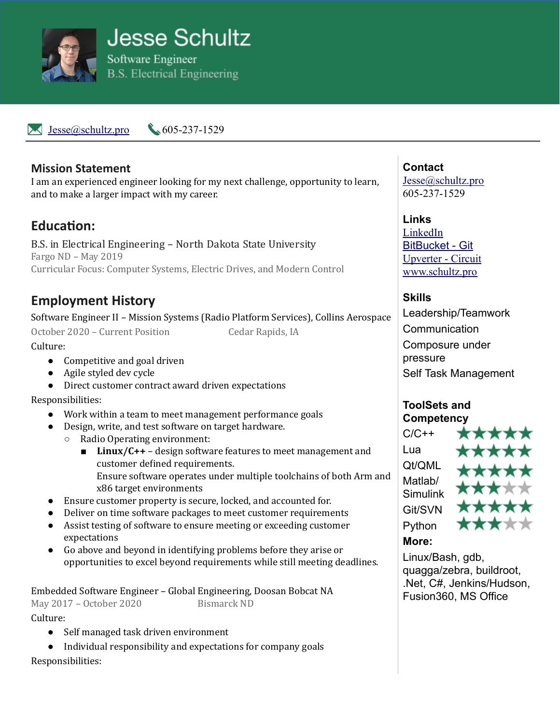

 $\blacktriangleright$  [Jesse@schultz.pro](mailto:Jesse@schultz.pro) 605-237-1529

### **Mission Statement**

I am an experienced engineer looking for my next challenge, opportunity to learn, and to make a larger impact with my career.

# **Education:**

B.S. in Electrical Engineering – North Dakota State University Fargo ND – May 2019 Curricular Focus: Computer Systems, Electric Drives, and Modern Control

# **Employment History**

Software Engineer II – Mission Systems (Radio Platform Services), Collins Aerospace

October 2020 – Current Position Cedar Rapids, IA

Culture:

- Competitive and goal driven
- Agile styled dev cycle
- Direct customer contract award driven expectations

Responsibilities:

- Work within a team to meet management performance goals
- Design, write, and test software on target hardware.
	- Radio Operating environment:
		- **Linux/C++** design software features to meet management and customer defined requirements. Ensure software operates under multiple toolchains of both Arm and x86 target environments
- Ensure customer property is secure, locked, and accounted for.
- Deliver on time software packages to meet customer requirements
- Assist testing of software to ensure meeting or exceeding customer expectations
- Go above and beyond in identifying problems before they arise or opportunities to excel beyond requirements while still meeting deadlines.

Embedded Software Engineer – Global Engineering, Doosan Bobcat NA May 2017 – October 2020 Bismarck ND

Culture:

- Self managed task driven environment
- Individual responsibility and expectations for company goals

Responsibilities:

**Contact** [Jesse@schultz.pro](mailto:Jesse@schultz.pro) 605-237-1529

**Links** [LinkedIn](https://www.linkedin.com/in/jesse-schultz-4a6b09103/) [BitBucket - Git](https://bitbucket.org/wildstingray/) [Upverter - Circuit](https://upverter.com/profile/jaschultz/) [www.schultz.pro](http://www.schultz.pro/)

**Skills** Leadership/Teamwork **Communication** Composure under pressure Self Task Management

### **ToolSets and Competency**

 $C/C++$ Lua Qt/QML Matlah/ Simulink Git/SVN Python



## **More:**

Linux/Bash, gdb, quagga/zebra, buildroot, .Net, C#, Jenkins/Hudson, Fusion360, MS Office